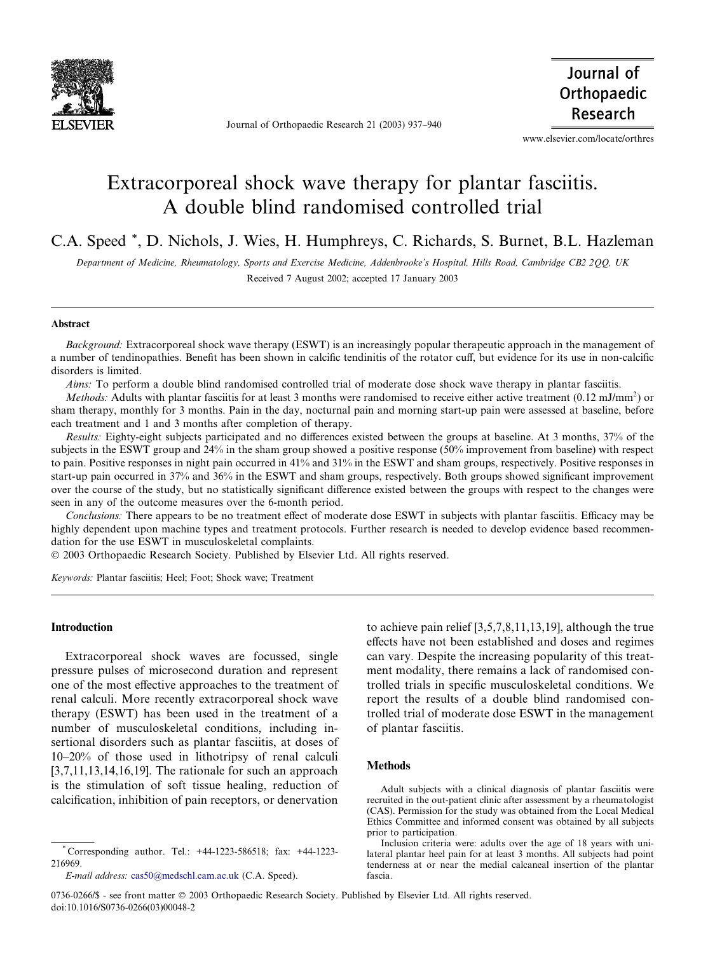

Journal of Orthopaedic Research 21 (2003) 937–940

Journal of Orthopaedic Research

www.elsevier.com/locate/orthres

# Extracorporeal shock wave therapy for plantar fasciitis. A double blind randomised controlled trial

C.A. Speed \*, D. Nichols, J. Wies, H. Humphreys, C. Richards, S. Burnet, B.L. Hazleman

Department of Medicine, Rheumatology, Sports and Exercise Medicine, Addenbrooke's Hospital, Hills Road, Cambridge CB2 2QQ, UK Received 7 August 2002; accepted 17 January 2003

### Abstract

Background: Extracorporeal shock wave therapy (ESWT) is an increasingly popular therapeutic approach in the management of a number of tendinopathies. Benefit has been shown in calcific tendinitis of the rotator cuff, but evidence for its use in non-calcific disorders is limited.

Aims: To perform a double blind randomised controlled trial of moderate dose shock wave therapy in plantar fasciitis.

*Methods:* Adults with plantar fasciitis for at least 3 months were randomised to receive either active treatment  $(0.12 \text{ mJ/mm}^2)$  or sham therapy, monthly for 3 months. Pain in the day, nocturnal pain and morning start-up pain were assessed at baseline, before each treatment and 1 and 3 months after completion of therapy.

Results: Eighty-eight subjects participated and no differences existed between the groups at baseline. At 3 months, 37% of the subjects in the ESWT group and 24% in the sham group showed a positive response (50% improvement from baseline) with respect to pain. Positive responses in night pain occurred in 41% and 31% in the ESWT and sham groups, respectively. Positive responses in start-up pain occurred in 37% and 36% in the ESWT and sham groups, respectively. Both groups showed significant improvement over the course of the study, but no statistically significant difference existed between the groups with respect to the changes were seen in any of the outcome measures over the 6-month period.

Conclusions: There appears to be no treatment effect of moderate dose ESWT in subjects with plantar fasciitis. Efficacy may be highly dependent upon machine types and treatment protocols. Further research is needed to develop evidence based recommendation for the use ESWT in musculoskeletal complaints.

2003 Orthopaedic Research Society. Published by Elsevier Ltd. All rights reserved.

Keywords: Plantar fasciitis; Heel; Foot; Shock wave; Treatment

# Introduction

Extracorporeal shock waves are focussed, single pressure pulses of microsecond duration and represent one of the most effective approaches to the treatment of renal calculi. More recently extracorporeal shock wave therapy (ESWT) has been used in the treatment of a number of musculoskeletal conditions, including insertional disorders such as plantar fasciitis, at doses of 10–20% of those used in lithotripsy of renal calculi [3,7,11,13,14,16,19]. The rationale for such an approach is the stimulation of soft tissue healing, reduction of calcification, inhibition of pain receptors, or denervation

\* Corresponding author. Tel.: +44-1223-586518; fax: +44-1223- 216969.

to achieve pain relief [3,5,7,8,11,13,19], although the true effects have not been established and doses and regimes can vary. Despite the increasing popularity of this treatment modality, there remains a lack of randomised controlled trials in specific musculoskeletal conditions. We report the results of a double blind randomised controlled trial of moderate dose ESWT in the management of plantar fasciitis.

# Methods

Adult subjects with a clinical diagnosis of plantar fasciitis were recruited in the out-patient clinic after assessment by a rheumatologist (CAS). Permission for the study was obtained from the Local Medical Ethics Committee and informed consent was obtained by all subjects prior to participation.

0736-0266/\$ - see front matter  $\odot$  2003 Orthopaedic Research Society. Published by Elsevier Ltd. All rights reserved. doi:10.1016/S0736-0266(03)00048-2

E-mail address: [cas50@medschl.cam.ac.uk](mail to: cas50@medschl.cam.ac.uk) (C.A. Speed).

Inclusion criteria were: adults over the age of 18 years with unilateral plantar heel pain for at least 3 months. All subjects had point tenderness at or near the medial calcaneal insertion of the plantar fascia.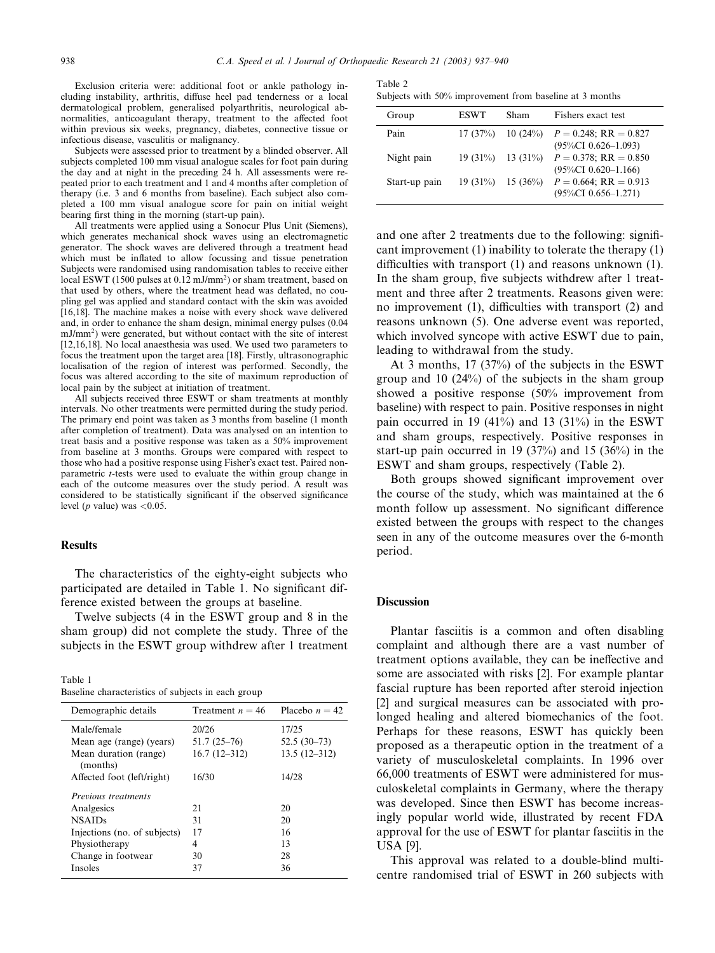Exclusion criteria were: additional foot or ankle pathology including instability, arthritis, diffuse heel pad tenderness or a local dermatological problem, generalised polyarthritis, neurological abnormalities, anticoagulant therapy, treatment to the affected foot within previous six weeks, pregnancy, diabetes, connective tissue or infectious disease, vasculitis or malignancy.

Subjects were assessed prior to treatment by a blinded observer. All subjects completed 100 mm visual analogue scales for foot pain during the day and at night in the preceding 24 h. All assessments were repeated prior to each treatment and 1 and 4 months after completion of therapy (i.e. 3 and 6 months from baseline). Each subject also completed a 100 mm visual analogue score for pain on initial weight bearing first thing in the morning (start-up pain).

All treatments were applied using a Sonocur Plus Unit (Siemens), which generates mechanical shock waves using an electromagnetic generator. The shock waves are delivered through a treatment head which must be inflated to allow focussing and tissue penetration Subjects were randomised using randomisation tables to receive either local ESWT (1500 pulses at  $0.12 \text{ mJ/mm}^2$ ) or sham treatment, based on that used by others, where the treatment head was deflated, no coupling gel was applied and standard contact with the skin was avoided [16,18]. The machine makes a noise with every shock wave delivered and, in order to enhance the sham design, minimal energy pulses (0.04 mJ/mm2) were generated, but without contact with the site of interest [12,16,18]. No local anaesthesia was used. We used two parameters to focus the treatment upon the target area [18]. Firstly, ultrasonographic localisation of the region of interest was performed. Secondly, the focus was altered according to the site of maximum reproduction of local pain by the subject at initiation of treatment.

All subjects received three ESWT or sham treatments at monthly intervals. No other treatments were permitted during the study period. The primary end point was taken as 3 months from baseline (1 month after completion of treatment). Data was analysed on an intention to treat basis and a positive response was taken as a 50% improvement from baseline at 3 months. Groups were compared with respect to those who had a positive response using Fisher's exact test. Paired nonparametric t-tests were used to evaluate the within group change in each of the outcome measures over the study period. A result was considered to be statistically significant if the observed significance level (*p* value) was  $\langle 0.05$ .

## **Results**

The characteristics of the eighty-eight subjects who participated are detailed in Table 1. No significant difference existed between the groups at baseline.

Twelve subjects (4 in the ESWT group and 8 in the sham group) did not complete the study. Three of the subjects in the ESWT group withdrew after 1 treatment

| Table 1 |                                                    |  |  |  |
|---------|----------------------------------------------------|--|--|--|
|         | Baseline characteristics of subjects in each group |  |  |  |

| Demographic details               | Treatment $n = 46$ | Placebo $n = 42$ |
|-----------------------------------|--------------------|------------------|
|                                   |                    |                  |
| Male/female                       | 20/26              | 17/25            |
| Mean age (range) (years)          | $51.7(25-76)$      | $52.5(30-73)$    |
| Mean duration (range)<br>(months) | $16.7(12-312)$     | $13.5(12-312)$   |
| Affected foot (left/right)        | 16/30              | 14/28            |
| <i>Previous treatments</i>        |                    |                  |
| Analgesics                        | 21                 | 20               |
| <b>NSAIDs</b>                     | 31                 | 20               |
| Injections (no. of subjects)      | 17                 | 16               |
| Physiotherapy                     | 4                  | 13               |
| Change in footwear                | 30                 | 28               |
| <b>Insoles</b>                    | 37                 | 36               |
|                                   |                    |                  |

| Table 2 |  |                                                         |  |  |
|---------|--|---------------------------------------------------------|--|--|
|         |  | Subjects with 50% improvement from baseline at 3 months |  |  |

| Group         | <b>ESWT</b> | Sham       | Fishers exact test                                  |
|---------------|-------------|------------|-----------------------------------------------------|
| Pain          | 17(37%)     | 10(24%)    | $P = 0.248$ ; RR = 0.827<br>$(95\%CI\ 0.626-1.093)$ |
| Night pain    | $19(31\%)$  | $13(31\%)$ | $P = 0.378$ ; RR = 0.850<br>$(95\%CI\ 0.620-1.166)$ |
| Start-up pain | $19(31\%)$  | $15(36\%)$ | $P = 0.664$ ; RR = 0.913<br>$(95\%CI\ 0.656-1.271)$ |

and one after 2 treatments due to the following: significant improvement (1) inability to tolerate the therapy (1) difficulties with transport (1) and reasons unknown (1). In the sham group, five subjects withdrew after 1 treatment and three after 2 treatments. Reasons given were: no improvement (1), difficulties with transport (2) and reasons unknown (5). One adverse event was reported, which involved syncope with active ESWT due to pain, leading to withdrawal from the study.

At 3 months, 17 (37%) of the subjects in the ESWT group and 10 (24%) of the subjects in the sham group showed a positive response (50% improvement from baseline) with respect to pain. Positive responses in night pain occurred in 19  $(41\%)$  and 13  $(31\%)$  in the ESWT and sham groups, respectively. Positive responses in start-up pain occurred in 19 (37%) and 15 (36%) in the ESWT and sham groups, respectively (Table 2).

Both groups showed significant improvement over the course of the study, which was maintained at the 6 month follow up assessment. No significant difference existed between the groups with respect to the changes seen in any of the outcome measures over the 6-month period.

#### **Discussion**

Plantar fasciitis is a common and often disabling complaint and although there are a vast number of treatment options available, they can be ineffective and some are associated with risks [2]. For example plantar fascial rupture has been reported after steroid injection [2] and surgical measures can be associated with prolonged healing and altered biomechanics of the foot. Perhaps for these reasons, ESWT has quickly been proposed as a therapeutic option in the treatment of a variety of musculoskeletal complaints. In 1996 over 66,000 treatments of ESWT were administered for musculoskeletal complaints in Germany, where the therapy was developed. Since then ESWT has become increasingly popular world wide, illustrated by recent FDA approval for the use of ESWT for plantar fasciitis in the USA [9].

This approval was related to a double-blind multicentre randomised trial of ESWT in 260 subjects with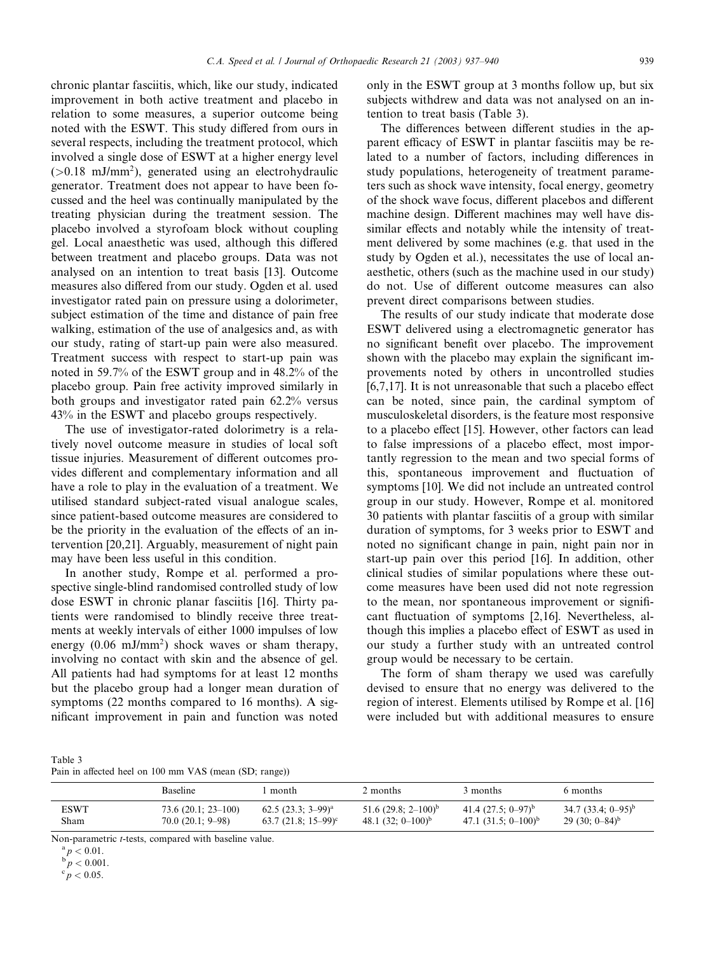chronic plantar fasciitis, which, like our study, indicated improvement in both active treatment and placebo in relation to some measures, a superior outcome being noted with the ESWT. This study differed from ours in several respects, including the treatment protocol, which involved a single dose of ESWT at a higher energy level  $(>0.18$  mJ/mm<sup>2</sup>), generated using an electrohydraulic generator. Treatment does not appear to have been focussed and the heel was continually manipulated by the treating physician during the treatment session. The placebo involved a styrofoam block without coupling gel. Local anaesthetic was used, although this differed between treatment and placebo groups. Data was not analysed on an intention to treat basis [13]. Outcome measures also differed from our study. Ogden et al. used investigator rated pain on pressure using a dolorimeter, subject estimation of the time and distance of pain free walking, estimation of the use of analgesics and, as with our study, rating of start-up pain were also measured. Treatment success with respect to start-up pain was noted in 59.7% of the ESWT group and in 48.2% of the placebo group. Pain free activity improved similarly in both groups and investigator rated pain 62.2% versus 43% in the ESWT and placebo groups respectively.

The use of investigator-rated dolorimetry is a relatively novel outcome measure in studies of local soft tissue injuries. Measurement of different outcomes provides different and complementary information and all have a role to play in the evaluation of a treatment. We utilised standard subject-rated visual analogue scales, since patient-based outcome measures are considered to be the priority in the evaluation of the effects of an intervention [20,21]. Arguably, measurement of night pain may have been less useful in this condition.

In another study, Rompe et al. performed a prospective single-blind randomised controlled study of low dose ESWT in chronic planar fasciitis [16]. Thirty patients were randomised to blindly receive three treatments at weekly intervals of either 1000 impulses of low energy  $(0.06 \text{ mJ/mm}^2)$  shock waves or sham therapy, involving no contact with skin and the absence of gel. All patients had had symptoms for at least 12 months but the placebo group had a longer mean duration of symptoms (22 months compared to 16 months). A significant improvement in pain and function was noted

only in the ESWT group at 3 months follow up, but six subjects withdrew and data was not analysed on an intention to treat basis (Table 3).

The differences between different studies in the apparent efficacy of ESWT in plantar fasciitis may be related to a number of factors, including differences in study populations, heterogeneity of treatment parameters such as shock wave intensity, focal energy, geometry of the shock wave focus, different placebos and different machine design. Different machines may well have dissimilar effects and notably while the intensity of treatment delivered by some machines (e.g. that used in the study by Ogden et al.), necessitates the use of local anaesthetic, others (such as the machine used in our study) do not. Use of different outcome measures can also prevent direct comparisons between studies.

The results of our study indicate that moderate dose ESWT delivered using a electromagnetic generator has no significant benefit over placebo. The improvement shown with the placebo may explain the significant improvements noted by others in uncontrolled studies [6,7,17]. It is not unreasonable that such a placebo effect can be noted, since pain, the cardinal symptom of musculoskeletal disorders, is the feature most responsive to a placebo effect [15]. However, other factors can lead to false impressions of a placebo effect, most importantly regression to the mean and two special forms of this, spontaneous improvement and fluctuation of symptoms [10]. We did not include an untreated control group in our study. However, Rompe et al. monitored 30 patients with plantar fasciitis of a group with similar duration of symptoms, for 3 weeks prior to ESWT and noted no significant change in pain, night pain nor in start-up pain over this period [16]. In addition, other clinical studies of similar populations where these outcome measures have been used did not note regression to the mean, nor spontaneous improvement or significant fluctuation of symptoms [2,16]. Nevertheless, although this implies a placebo effect of ESWT as used in our study a further study with an untreated control group would be necessary to be certain.

The form of sham therapy we used was carefully devised to ensure that no energy was delivered to the region of interest. Elements utilised by Rompe et al. [16] were included but with additional measures to ensure

| Table 3                                                |  |  |  |
|--------------------------------------------------------|--|--|--|
| Pain in affected heel on 100 mm VAS (mean (SD; range)) |  |  |  |

|      | <b>Baseline</b>      | month                  | 2 months               | 3 months                 | 6 months                      |
|------|----------------------|------------------------|------------------------|--------------------------|-------------------------------|
| ESWT | $73.6(20.1; 23-100)$ | $62.5(23.3; 3-99)^{a}$ | 51.6 $(29.8; 2-100)^b$ | 41.4 $(27.5; 0-97)^{b}$  | 34.7 $(33.4; 0-95)^{b}$       |
| Sham | $70.0(20.1; 9-98)$   | $63.7(21.8; 15-99)^c$  | 48.1 $(32; 0-100)^{b}$ | 47.1 $(31.5; 0-100)^{b}$ | 29 (30; $0-84$ <sup>b</sup> ) |

Non-parametric *t*-tests, compared with baseline value.<br> ${}^{a}p < 0.01$ .<br> ${}^{b}p < 0.001$ .

 $\degree p < 0.05$ .